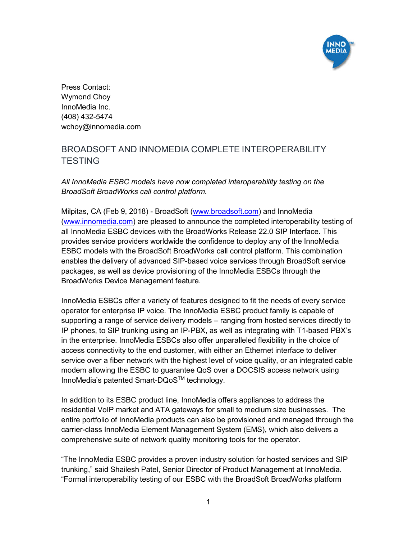

Press Contact: Wymond Choy InnoMedia Inc. (408) 432-5474 wchoy@innomedia.com

## BROADSOFT AND INNOMEDIA COMPLETE INTEROPERABILITY **TESTING**

*All InnoMedia ESBC models have now completed interoperability testing on the BroadSoft BroadWorks call control platform.*

Milpitas, CA (Feb 9, 2018) - BroadSoft (www.broadsoft.com) and InnoMedia (www.innomedia.com) are pleased to announce the completed interoperability testing of all InnoMedia ESBC devices with the BroadWorks Release 22.0 SIP Interface. This provides service providers worldwide the confidence to deploy any of the InnoMedia ESBC models with the BroadSoft BroadWorks call control platform. This combination enables the delivery of advanced SIP-based voice services through BroadSoft service packages, as well as device provisioning of the InnoMedia ESBCs through the BroadWorks Device Management feature.

InnoMedia ESBCs offer a variety of features designed to fit the needs of every service operator for enterprise IP voice. The InnoMedia ESBC product family is capable of supporting a range of service delivery models – ranging from hosted services directly to IP phones, to SIP trunking using an IP-PBX, as well as integrating with T1-based PBX's in the enterprise. InnoMedia ESBCs also offer unparalleled flexibility in the choice of access connectivity to the end customer, with either an Ethernet interface to deliver service over a fiber network with the highest level of voice quality, or an integrated cable modem allowing the ESBC to guarantee QoS over a DOCSIS access network using InnoMedia's patented Smart-DQoSTM technology.

In addition to its ESBC product line, InnoMedia offers appliances to address the residential VoIP market and ATA gateways for small to medium size businesses. The entire portfolio of InnoMedia products can also be provisioned and managed through the carrier-class InnoMedia Element Management System (EMS), which also delivers a comprehensive suite of network quality monitoring tools for the operator.

"The InnoMedia ESBC provides a proven industry solution for hosted services and SIP trunking," said Shailesh Patel, Senior Director of Product Management at InnoMedia. "Formal interoperability testing of our ESBC with the BroadSoft BroadWorks platform